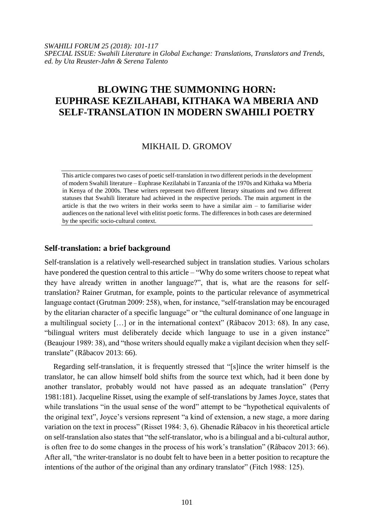*SWAHILI FORUM 25 (2018): 101-117 SPECIAL ISSUE: Swahili Literature in Global Exchange: Translations, Translators and Trends, ed. by Uta Reuster-Jahn & Serena Talento*

# **BLOWING THE SUMMONING HORN: EUPHRASE KEZILAHABI, KITHAKA WA MBERIA AND SELF-TRANSLATION IN MODERN SWAHILI POETRY**

# MIKHAIL D. GROMOV

This article compares two cases of poetic self-translation in two different periods in the development of modern Swahili literature – Euphrase Kezilahabi in Tanzania of the 1970s and Kithaka wa Mberia in Kenya of the 2000s. These writers represent two different literary situations and two different statuses that Swahili literature had achieved in the respective periods. The main argument in the article is that the two writers in their works seem to have a similar aim – to familiarise wider audiences on the national level with elitist poetic forms. The differences in both cases are determined by the specific socio-cultural context.

#### **Self-translation: a brief background**

Self-translation is a relatively well-researched subject in translation studies. Various scholars have pondered the question central to this article – "Why do some writers choose to repeat what they have already written in another language?", that is, what are the reasons for selftranslation? Rainer Grutman, for example, points to the particular relevance of asymmetrical language contact (Grutman 2009: 258), when, for instance, "self-translation may be encouraged by the elitarian character of a specific language" or "the cultural dominance of one language in a multilingual society [...] or in the international context" (Râbacov 2013: 68). In any case, "bilingual writers must deliberately decide which language to use in a given instance" (Beaujour 1989: 38), and "those writers should equally make a vigilant decision when they selftranslate" (Râbacov 2013: 66).

Regarding self-translation, it is frequently stressed that "[s]ince the writer himself is the translator, he can allow himself bold shifts from the source text which, had it been done by another translator, probably would not have passed as an adequate translation" (Perry 1981:181). Jacqueline Risset, using the example of self-translations by James Joyce, states that while translations "in the usual sense of the word" attempt to be "hypothetical equivalents of the original text", Joyce's versions represent "a kind of extension, a new stage, a more daring variation on the text in process" (Risset 1984: 3, 6). Ghenadie Râbacov in his theoretical article on self-translation also states that "the self-translator, who is a bilingual and a bi-cultural author, is often free to do some changes in the process of his work's translation" (Râbacov 2013: 66). After all, "the writer-translator is no doubt felt to have been in a better position to recapture the intentions of the author of the original than any ordinary translator" (Fitch 1988: 125).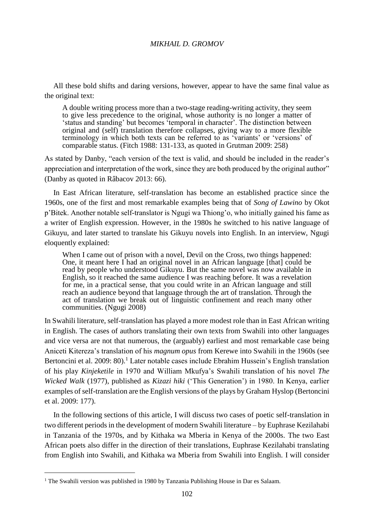All these bold shifts and daring versions, however, appear to have the same final value as the original text:

A double writing process more than a two-stage reading-writing activity, they seem to give less precedence to the original, whose authority is no longer a matter of 'status and standing' but becomes 'temporal in character'. The distinction between original and (self) translation therefore collapses, giving way to a more flexible terminology in which both texts can be referred to as 'variants' or 'versions' of comparable status. (Fitch 1988: 131-133, as quoted in Grutman 2009: 258)

As stated by Danby, "each version of the text is valid, and should be included in the reader's appreciation and interpretation of the work, since they are both produced by the original author" (Danby as quoted in Râbacov 2013: 66).

In East African literature, self-translation has become an established practice since the 1960s, one of the first and most remarkable examples being that of *Song of Lawino* by Okot p'Bitek. Another notable self-translator is Ngugi wa Thiong'o, who initially gained his fame as a writer of English expression. However, in the 1980s he switched to his native language of Gikuyu, and later started to translate his Gikuyu novels into English. In an interview, Ngugi eloquently explained:

When I came out of prison with a novel, Devil on the Cross, two things happened: One, it meant here I had an original novel in an African language [that] could be read by people who understood Gikuyu. But the same novel was now available in English, so it reached the same audience I was reaching before. It was a revelation for me, in a practical sense, that you could write in an African language and still reach an audience beyond that language through the art of translation. Through the act of translation we break out of linguistic confinement and reach many other communities. (Ngugi 2008)

In Swahili literature, self-translation has played a more modest role than in East African writing in English. The cases of authors translating their own texts from Swahili into other languages and vice versa are not that numerous, the (arguably) earliest and most remarkable case being Aniceti Kitereza's translation of his *magnum opus* from Kerewe into Swahili in the 1960s (see Bertoncini et al. 2009: 80).<sup>1</sup> Later notable cases include Ebrahim Hussein's English translation of his play *Kinjeketile* in 1970 and William Mkufya's Swahili translation of his novel *The Wicked Walk* (1977), published as *Kizazi hiki* ('This Generation') in 1980. In Kenya, earlier examples of self-translation are the English versions of the plays by Graham Hyslop (Bertoncini et al. 2009: 177).

In the following sections of this article, I will discuss two cases of poetic self-translation in two different periods in the development of modern Swahili literature – by Euphrase Kezilahabi in Tanzania of the 1970s, and by Kithaka wa Mberia in Kenya of the 2000s. The two East African poets also differ in the direction of their translations, Euphrase Kezilahabi translating from English into Swahili, and Kithaka wa Mberia from Swahili into English. I will consider

<sup>&</sup>lt;sup>1</sup> The Swahili version was published in 1980 by Tanzania Publishing House in Dar es Salaam.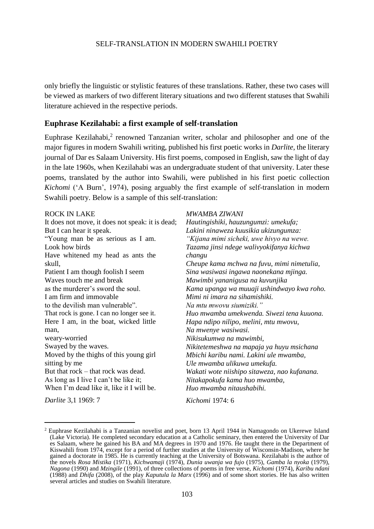only briefly the linguistic or stylistic features of these translations. Rather, these two cases will be viewed as markers of two different literary situations and two different statuses that Swahili literature achieved in the respective periods.

### **Euphrase Kezilahabi: a first example of self-translation**

Euphrase Kezilahabi, $2$  renowned Tanzanian writer, scholar and philosopher and one of the major figures in modern Swahili writing, published his first poetic works in *Darlite*, the literary journal of Dar es Salaam University. His first poems, composed in English, saw the light of day in the late 1960s, when Kezilahabi was an undergraduate student of that university. Later these poems, translated by the author into Swahili, were published in his first poetic collection *Kichomi* ('A Burn', 1974), posing arguably the first example of self-translation in modern Swahili poetry. Below is a sample of this self-translation:

| <b>ROCK IN LAKE</b>                              | MWAMBA ZIWANI                                |
|--------------------------------------------------|----------------------------------------------|
| It does not move, it does not speak: it is dead; | Hautingishiki, hauzungumzi: umekufa;         |
| But I can hear it speak.                         | Lakini ninaweza kuusikia ukizungumza:        |
| "Young man be as serious as I am.                | "Kijana mimi sicheki, uwe hivyo na wewe.     |
| Look how birds                                   | Tazama jinsi ndege walivyokifanya kichwa     |
| Have white ned my head as ants the               | changu                                       |
| skull,                                           | Cheupe kama mchwa na fuvu, mimi nimetulia,   |
| Patient I am though foolish I seem               | Sina wasiwasi ingawa naonekana mjinga.       |
| Waves touch me and break                         | Mawimbi yananigusa na kuvunjika              |
| as the murderer's sword the soul.                | Kama upanga wa muuaji ushindwayo kwa roho.   |
| I am firm and immovable                          | Mimi ni imara na sihamishiki.                |
| to the devilish man vulnerable".                 | Na mtu mwovu siumiziki."                     |
| That rock is gone. I can no longer see it.       | Huo mwamba umekwenda. Siwezi tena kuuona.    |
| Here I am, in the boat, wicked little            | Hapa ndipo nilipo, melini, mtu mwovu,        |
| man,                                             | Na mwenye wasiwasi.                          |
| weary-worried                                    | Nikisukumwa na mawimbi,                      |
| Swayed by the waves.                             | Nikitetemeshwa na mapaja ya huyu msichana    |
| Moved by the thighs of this young girl           | Mbichi karibu nami. Lakini ule mwamba,       |
| sitting by me                                    | Ule mwamba ulikuwa umekufa.                  |
| But that rock – that rock was dead.              | Wakati wote niishipo sitaweza, nao kufanana. |
| As long as I live I can't be like it;            | Nitakapokufa kama huo mwamba,                |
| When I'm dead like it, like it I will be.        | Huo mwamba nitaushabihi.                     |
|                                                  |                                              |

*Darlite* 3,1 1969: 7

 $\overline{a}$ 

*Kichomi* 1974: 6

<sup>2</sup> Euphrase Kezilahabi is a Tanzanian novelist and poet, born 13 April 1944 in Namagondo on Ukerewe Island (Lake Victoria). He completed secondary education at a Catholic seminary, then entered the University of Dar es Salaam, where he gained his BA and MA degrees in 1970 and 1976. He taught there in the Department of Kiswahili from 1974, except for a period of further studies at the University of Wisconsin-Madison, where he gained a doctorate in 1985. He is currently teaching at the University of Botswana. Kezilahabi is the author of the novels *Rosa Mistika* (1971), *Kichwamaji* (1974), *Dunia uwanja wa fujo* (1975), *Gamba la nyoka* (1979), *Nagona* (1990) and *Mzingile* (1991), of three collections of poems in free verse, *Kichomi* (1974), *Karibu ndani*  (1988) and *Dhifa* (2008), of the play *Kaputula la Marx* (1996) and of some short stories. He has also written several articles and studies on Swahili literature.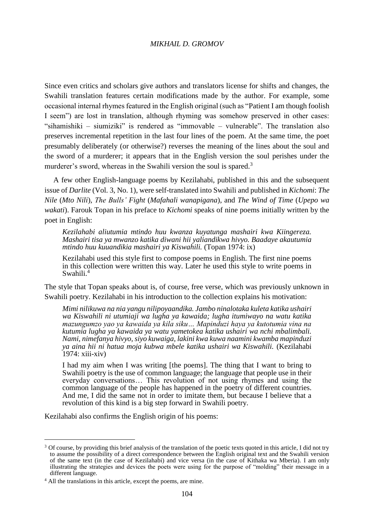Since even critics and scholars give authors and translators license for shifts and changes, the Swahili translation features certain modifications made by the author. For example, some occasional internal rhymes featured in the English original (such as "Patient I am though foolish I seem") are lost in translation, although rhyming was somehow preserved in other cases: "sihamishiki – siumiziki" is rendered as "immovable – vulnerable". The translation also preserves incremental repetition in the last four lines of the poem. At the same time, the poet presumably deliberately (or otherwise?) reverses the meaning of the lines about the soul and the sword of a murderer; it appears that in the English version the soul perishes under the murderer's sword, whereas in the Swahili version the soul is spared.<sup>3</sup>

A few other English-language poems by Kezilahabi, published in this and the subsequent issue of *Darlite* (Vol. 3, No. 1), were self-translated into Swahili and published in *Kichomi*: *The Nile* (*Mto Nili*), *The Bulls' Fight* (*Mafahali wanapigana*), and *The Wind of Time* (*Upepo wa wakati*). Farouk Topan in his preface to *Kichomi* speaks of nine poems initially written by the poet in English:

*Kezilahabi aliutumia mtindo huu kwanza kuyatunga mashairi kwa Kiingereza. Mashairi tisa ya mwanzo katika diwani hii yaliandikwa hivyo. Baadaye akautumia mtindo huu kuuandikia mashairi ya Kiswahili.* (Topan 1974: ix)

Kezilahabi used this style first to compose poems in English. The first nine poems in this collection were written this way. Later he used this style to write poems in Swahili.<sup>4</sup>

The style that Topan speaks about is, of course, free verse, which was previously unknown in Swahili poetry. Kezilahabi in his introduction to the collection explains his motivation:

*Mimi nilikuwa na nia yangu nilipoyaandika. Jambo ninalotaka kuleta katika ushairi wa Kiswahili ni utumiaji wa lugha ya kawaida; lugha itumiwayo na watu katika mazungumzo yao ya kawaida ya kila siku… Mapinduzi haya ya kutotumia vina na kutumia lugha ya kawaida ya watu yametokea katika ushairi wa nchi mbalimbali. Nami, nimefanya hivyo, siyo kuwaiga, lakini kwa kuwa naamini kwamba mapinduzi ya aina hii ni hatua moja kubwa mbele katika ushairi wa Kiswahili.* (Kezilahabi 1974: xiii-xiv)

I had my aim when I was writing [the poems]. The thing that I want to bring to Swahili poetry is the use of common language; the language that people use in their everyday conversations… This revolution of not using rhymes and using the common language of the people has happened in the poetry of different countries. And me, I did the same not in order to imitate them, but because I believe that a revolution of this kind is a big step forward in Swahili poetry.

Kezilahabi also confirms the English origin of his poems:

<sup>&</sup>lt;sup>3</sup> Of course, by providing this brief analysis of the translation of the poetic texts quoted in this article. I did not try to assume the possibility of a direct correspondence between the English original text and the Swahili version of the same text (in the case of Kezilahabi) and vice versa (in the case of Kithaka wa Mberia). I am only illustrating the strategies and devices the poets were using for the purpose of "molding" their message in a different language.

<sup>4</sup> All the translations in this article, except the poems, are mine.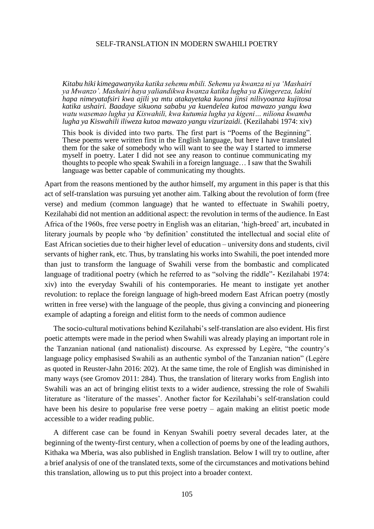*Kitabu hiki kimegawanyika katika sehemu mbili. Sehemu ya kwanza ni ya 'Mashairi ya Mwanzo'. Mashairi haya yaliandikwa kwanza katika lugha ya Kiingereza, lakini hapa nimeyatafsiri kwa ajili ya mtu atakayetaka kuona jinsi nilivyoanza kujitosa katika ushairi. Baadaye sikuona sababu ya kuendelea kutoa mawazo yangu kwa watu wasemao lugha ya Kiswahili, kwa kutumia lugha ya kigeni… niliona kwamba lugha ya Kiswahili iliweza kutoa mawazo yangu vizurizaidi.* (Kezilahabi 1974: xiv)

This book is divided into two parts. The first part is "Poems of the Beginning". These poems were written first in the English language, but here I have translated them for the sake of somebody who will want to see the way I started to immerse myself in poetry. Later I did not see any reason to continue communicating my thoughts to people who speak Swahili in a foreign language… I saw that the Swahili language was better capable of communicating my thoughts.

Apart from the reasons mentioned by the author himself, my argument in this paper is that this act of self-translation was pursuing yet another aim. Talking about the revolution of form (free verse) and medium (common language) that he wanted to effectuate in Swahili poetry, Kezilahabi did not mention an additional aspect: the revolution in terms of the audience. In East Africa of the 1960s, free verse poetry in English was an elitarian, 'high-breed' art, incubated in literary journals by people who 'by definition' constituted the intellectual and social elite of East African societies due to their higher level of education – university dons and students, civil servants of higher rank, etc. Thus, by translating his works into Swahili, the poet intended more than just to transform the language of Swahili verse from the bombastic and complicated language of traditional poetry (which he referred to as "solving the riddle"- Kezilahabi 1974: xiv) into the everyday Swahili of his contemporaries. He meant to instigate yet another revolution: to replace the foreign language of high-breed modern East African poetry (mostly written in free verse) with the language of the people, thus giving a convincing and pioneering example of adapting a foreign and elitist form to the needs of common audience

The socio-cultural motivations behind Kezilahabi's self-translation are also evident. His first poetic attempts were made in the period when Swahili was already playing an important role in the Tanzanian national (and nationalist) discourse. As expressed by Legère, "the country's language policy emphasised Swahili as an authentic symbol of the Tanzanian nation" (Legère as quoted in Reuster-Jahn 2016: 202). At the same time, the role of English was diminished in many ways (see Gromov 2011: 284). Thus, the translation of literary works from English into Swahili was an act of bringing elitist texts to a wider audience, stressing the role of Swahili literature as 'literature of the masses'. Another factor for Kezilahabi's self-translation could have been his desire to popularise free verse poetry – again making an elitist poetic mode accessible to a wider reading public.

A different case can be found in Kenyan Swahili poetry several decades later, at the beginning of the twenty-first century, when a collection of poems by one of the leading authors, Kithaka wa Mberia, was also published in English translation. Below I will try to outline, after a brief analysis of one of the translated texts, some of the circumstances and motivations behind this translation, allowing us to put this project into a broader context.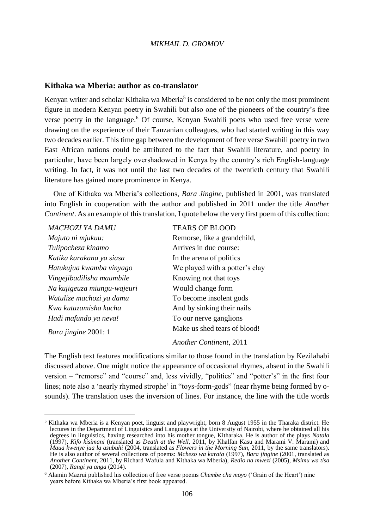### **Kithaka wa Mberia: author as co-translator**

Kenyan writer and scholar Kithaka wa Mberia<sup>5</sup> is considered to be not only the most prominent figure in modern Kenyan poetry in Swahili but also one of the pioneers of the country's free verse poetry in the language.<sup>6</sup> Of course, Kenyan Swahili poets who used free verse were drawing on the experience of their Tanzanian colleagues, who had started writing in this way two decades earlier. This time gap between the development of free verse Swahili poetry in two East African nations could be attributed to the fact that Swahili literature, and poetry in particular, have been largely overshadowed in Kenya by the country's rich English-language writing. In fact, it was not until the last two decades of the twentieth century that Swahili literature has gained more prominence in Kenya.

One of Kithaka wa Mberia's collections, *Bara Jingine*, published in 2001, was translated into English in cooperation with the author and published in 2011 under the title *Another Continent*. As an example of this translation, I quote below the very first poem of this collection:

| MACHOZI YA DAMU             | <b>TEARS OF BLOOD</b>          |
|-----------------------------|--------------------------------|
| Majuto ni mjukuu:           | Remorse, like a grandchild,    |
| Tulipocheza kinamo          | Arrives in due course:         |
| Katika karakana ya siasa    | In the arena of politics       |
| Hatukujua kwamba vinyago    | We played with a potter's clay |
| Vingejibadilisha maumbile   | Knowing not that toys          |
| Na kujigeuza miungu-wajeuri | Would change form              |
| Watulize machozi ya damu    | To become insolent gods        |
| Kwa kutuzamisha kucha       | And by sinking their nails     |
| Hadi mafundo ya neva!       | To our nerve ganglions         |
| Bara jingine 2001: 1        | Make us shed tears of blood!   |

 $\overline{a}$ 

*Another Continent*, 2011

The English text features modifications similar to those found in the translation by Kezilahabi discussed above. One might notice the appearance of occasional rhymes, absent in the Swahili version – "remorse" and "course" and, less vividly, "politics" and "potter's" in the first four lines; note also a 'nearly rhymed strophe' in "toys-form-gods" (near rhyme being formed by osounds). The translation uses the inversion of lines. For instance, the line with the title words

<sup>5</sup> Kithaka wa Mberia is a Kenyan poet, linguist and playwright, born 8 August 1955 in the Tharaka district. He lectures in the Department of Linguistics and Languages at the University of Nairobi, where he obtained all his degrees in linguistics, having researched into his mother tongue, Kitharaka. He is author of the plays *Natala*  (1997), *Kifo kisimani* (translated as *Death at the Well*, 2011, by Khalfan Kasu and Marami V. Marami) and *Maua kwenye jua la asubuhi* (2004, translated as *Flowers in the Morning Sun*, 2011, by the same translators). He is also author of several collections of poems: *Mchezo wa karata* (1997), *Bara jingine* (2001, translated as *Another Continent*, 2011, by Richard Wafula and Kithaka wa Mberia), *Redio na mwezi* (2005), *Msimu wa tisa* (2007), *Rangi ya anga* (2014).

<sup>6</sup> Alamin Mazrui published his collection of free verse poems *Chembe cha moyo* ('Grain of the Heart') nine years before Kithaka wa Mberia's first book appeared.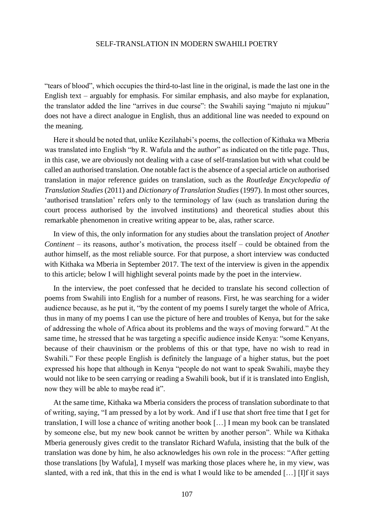"tears of blood", which occupies the third-to-last line in the original, is made the last one in the English text – arguably for emphasis. For similar emphasis, and also maybe for explanation, the translator added the line "arrives in due course": the Swahili saying "majuto ni mjukuu" does not have a direct analogue in English, thus an additional line was needed to expound on the meaning.

Here it should be noted that, unlike Kezilahabi's poems, the collection of Kithaka wa Mberia was translated into English "by R. Wafula and the author" as indicated on the title page. Thus, in this case, we are obviously not dealing with a case of self-translation but with what could be called an authorised translation. One notable fact is the absence of a special article on authorised translation in major reference guides on translation, such as the *Routledge Encyclopedia of Translation Studies* (2011) and *Dictionary of Translation Studies* (1997). In most other sources, 'authorised translation' refers only to the terminology of law (such as translation during the court process authorised by the involved institutions) and theoretical studies about this remarkable phenomenon in creative writing appear to be, alas, rather scarce.

In view of this, the only information for any studies about the translation project of *Another Continent* – its reasons, author's motivation, the process itself – could be obtained from the author himself, as the most reliable source. For that purpose, a short interview was conducted with Kithaka wa Mberia in September 2017. The text of the interview is given in the appendix to this article; below I will highlight several points made by the poet in the interview.

In the interview, the poet confessed that he decided to translate his second collection of poems from Swahili into English for a number of reasons. First, he was searching for a wider audience because, as he put it, "by the content of my poems I surely target the whole of Africa, thus in many of my poems I can use the picture of here and troubles of Kenya, but for the sake of addressing the whole of Africa about its problems and the ways of moving forward." At the same time, he stressed that he was targeting a specific audience inside Kenya: "some Kenyans, because of their chauvinism or the problems of this or that type, have no wish to read in Swahili." For these people English is definitely the language of a higher status, but the poet expressed his hope that although in Kenya "people do not want to speak Swahili, maybe they would not like to be seen carrying or reading a Swahili book, but if it is translated into English, now they will be able to maybe read it".

At the same time, Kithaka wa Mberia considers the process of translation subordinate to that of writing, saying, "I am pressed by a lot by work. And if I use that short free time that I get for translation, I will lose a chance of writing another book […] I mean my book can be translated by someone else, but my new book cannot be written by another person". While wa Kithaka Mberia generously gives credit to the translator Richard Wafula, insisting that the bulk of the translation was done by him, he also acknowledges his own role in the process: "After getting those translations [by Wafula], I myself was marking those places where he, in my view, was slanted, with a red ink, that this in the end is what I would like to be amended […] [I]f it says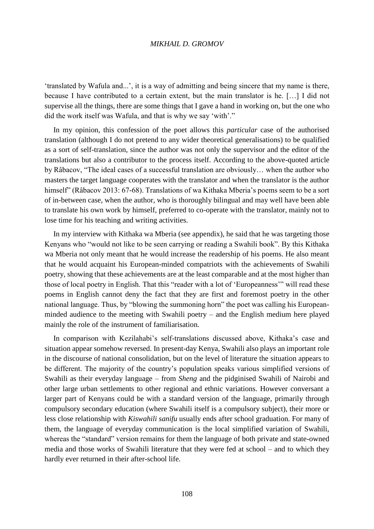'translated by Wafula and...', it is a way of admitting and being sincere that my name is there, because I have contributed to a certain extent, but the main translator is he. […] I did not supervise all the things, there are some things that I gave a hand in working on, but the one who did the work itself was Wafula, and that is why we say 'with'."

In my opinion, this confession of the poet allows this *particular* case of the authorised translation (although I do not pretend to any wider theoretical generalisations) to be qualified as a sort of self-translation, since the author was not only the supervisor and the editor of the translations but also a contributor to the process itself. According to the above-quoted article by Râbacov, "The ideal cases of a successful translation are obviously… when the author who masters the target language cooperates with the translator and when the translator is the author himself" (Râbacov 2013: 67-68). Translations of wa Kithaka Mberia's poems seem to be a sort of in-between case, when the author, who is thoroughly bilingual and may well have been able to translate his own work by himself, preferred to co-operate with the translator, mainly not to lose time for his teaching and writing activities.

In my interview with Kithaka wa Mberia (see appendix), he said that he was targeting those Kenyans who "would not like to be seen carrying or reading a Swahili book". By this Kithaka wa Mberia not only meant that he would increase the readership of his poems. He also meant that he would acquaint his European-minded compatriots with the achievements of Swahili poetry, showing that these achievements are at the least comparable and at the most higher than those of local poetry in English. That this "reader with a lot of 'Europeanness'" will read these poems in English cannot deny the fact that they are first and foremost poetry in the other national language. Thus, by "blowing the summoning horn" the poet was calling his Europeanminded audience to the meeting with Swahili poetry – and the English medium here played mainly the role of the instrument of familiarisation.

In comparison with Kezilahabi's self-translations discussed above, Kithaka's case and situation appear somehow reversed. In present-day Kenya, Swahili also plays an important role in the discourse of national consolidation, but on the level of literature the situation appears to be different. The majority of the country's population speaks various simplified versions of Swahili as their everyday language – from *Sheng* and the pidginised Swahili of Nairobi and other large urban settlements to other regional and ethnic variations. However conversant a larger part of Kenyans could be with a standard version of the language, primarily through compulsory secondary education (where Swahili itself is a compulsory subject), their more or less close relationship with *Kiswahili sanifu* usually ends after school graduation. For many of them, the language of everyday communication is the local simplified variation of Swahili, whereas the "standard" version remains for them the language of both private and state-owned media and those works of Swahili literature that they were fed at school – and to which they hardly ever returned in their after-school life.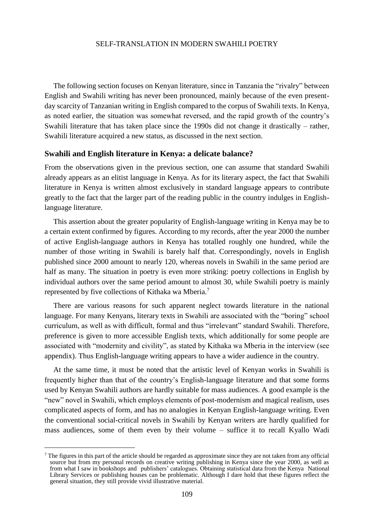The following section focuses on Kenyan literature, since in Tanzania the "rivalry" between English and Swahili writing has never been pronounced, mainly because of the even presentday scarcity of Tanzanian writing in English compared to the corpus of Swahili texts. In Kenya, as noted earlier, the situation was somewhat reversed, and the rapid growth of the country's Swahili literature that has taken place since the 1990s did not change it drastically – rather, Swahili literature acquired a new status, as discussed in the next section.

#### **Swahili and English literature in Kenya: a delicate balance?**

From the observations given in the previous section, one can assume that standard Swahili already appears as an elitist language in Kenya. As for its literary aspect, the fact that Swahili literature in Kenya is written almost exclusively in standard language appears to contribute greatly to the fact that the larger part of the reading public in the country indulges in Englishlanguage literature.

This assertion about the greater popularity of English-language writing in Kenya may be to a certain extent confirmed by figures. According to my records, after the year 2000 the number of active English-language authors in Kenya has totalled roughly one hundred, while the number of those writing in Swahili is barely half that. Correspondingly, novels in English published since 2000 amount to nearly 120, whereas novels in Swahili in the same period are half as many. The situation in poetry is even more striking: poetry collections in English by individual authors over the same period amount to almost 30, while Swahili poetry is mainly represented by five collections of Kithaka wa Mberia.<sup>7</sup>

There are various reasons for such apparent neglect towards literature in the national language. For many Kenyans, literary texts in Swahili are associated with the "boring" school curriculum, as well as with difficult, formal and thus "irrelevant" standard Swahili. Therefore, preference is given to more accessible English texts, which additionally for some people are associated with "modernity and civility", as stated by Kithaka wa Mberia in the interview (see appendix). Thus English-language writing appears to have a wider audience in the country.

At the same time, it must be noted that the artistic level of Kenyan works in Swahili is frequently higher than that of the country's English-language literature and that some forms used by Kenyan Swahili authors are hardly suitable for mass audiences. A good example is the "new" novel in Swahili, which employs elements of post-modernism and magical realism, uses complicated aspects of form, and has no analogies in Kenyan English-language writing. Even the conventional social-critical novels in Swahili by Kenyan writers are hardly qualified for mass audiences, some of them even by their volume – suffice it to recall Kyallo Wadi

<sup>&</sup>lt;sup>7</sup> The figures in this part of the article should be regarded as approximate since they are not taken from any official source but from my personal records on creative writing publishing in Kenya since the year 2000, as well as from what I saw in bookshops and publishers' catalogues. Obtaining statistical data from the Kenya National Library Services or publishing houses can be problematic. Although I dare hold that these figures reflect the general situation, they still provide vivid illustrative material.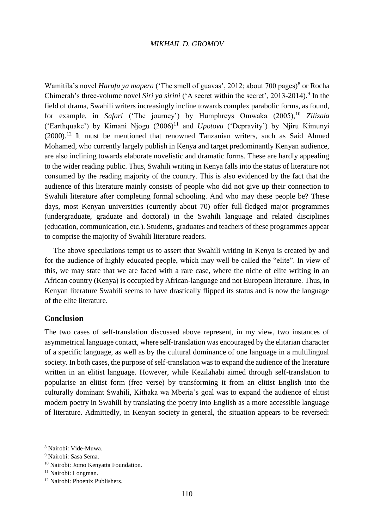Wamitila's novel *Harufu ya mapera* ('The smell of guavas', 2012; about 700 pages)<sup>8</sup> or Rocha Chimerah's three-volume novel *Siri ya sirini* ('A secret within the secret', 2013-2014).<sup>9</sup> In the field of drama, Swahili writers increasingly incline towards complex parabolic forms, as found, for example, in *Safari* ('The journey') by Humphreys Omwaka (2005),<sup>10</sup> Zilizala ('Earthquake') by Kimani Njogu  $(2006)^{11}$  and *Upotovu* ('Depravity') by Njiru Kimunyi  $(2000).$ <sup>12</sup> It must be mentioned that renowned Tanzanian writers, such as Said Ahmed Mohamed, who currently largely publish in Kenya and target predominantly Kenyan audience, are also inclining towards elaborate novelistic and dramatic forms. These are hardly appealing to the wider reading public. Thus, Swahili writing in Kenya falls into the status of literature not consumed by the reading majority of the country. This is also evidenced by the fact that the audience of this literature mainly consists of people who did not give up their connection to Swahili literature after completing formal schooling. And who may these people be? These days, most Kenyan universities (currently about 70) offer full-fledged major programmes (undergraduate, graduate and doctoral) in the Swahili language and related disciplines (education, communication, etc.). Students, graduates and teachers of these programmes appear to comprise the majority of Swahili literature readers.

The above speculations tempt us to assert that Swahili writing in Kenya is created by and for the audience of highly educated people, which may well be called the "elite". In view of this, we may state that we are faced with a rare case, where the niche of elite writing in an African country (Kenya) is occupied by African-language and not European literature. Thus, in Kenyan literature Swahili seems to have drastically flipped its status and is now the language of the elite literature.

# **Conclusion**

The two cases of self-translation discussed above represent, in my view, two instances of asymmetrical language contact, where self-translation was encouraged by the elitarian character of a specific language, as well as by the cultural dominance of one language in a multilingual society. In both cases, the purpose of self-translation was to expand the audience of the literature written in an elitist language. However, while Kezilahabi aimed through self-translation to popularise an elitist form (free verse) by transforming it from an elitist English into the culturally dominant Swahili, Kithaka wa Mberia's goal was to expand the audience of elitist modern poetry in Swahili by translating the poetry into English as a more accessible language of literature. Admittedly, in Kenyan society in general, the situation appears to be reversed:

<sup>8</sup> Nairobi: Vide-Muwa.

<sup>9</sup> Nairobi: Sasa Sema.

<sup>10</sup> Nairobi: Jomo Kenyatta Foundation.

<sup>&</sup>lt;sup>11</sup> Nairobi: Longman.

<sup>12</sup> Nairobi: Phoenix Publishers.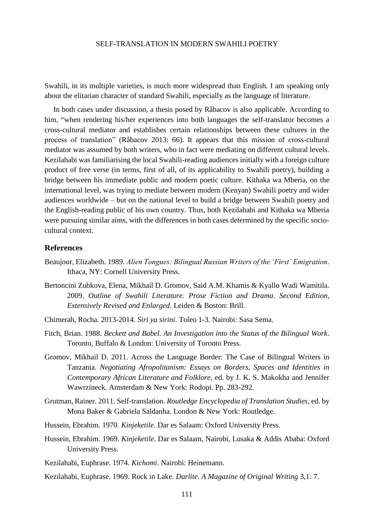Swahili, in its multiple varieties, is much more widespread than English. I am speaking only about the elitarian character of standard Swahili, especially as the language of literature.

In both cases under discussion, a thesis posed by Râbacov is also applicable. According to him, "when rendering his/her experiences into both languages the self-translator becomes a cross-cultural mediator and establishes certain relationships between these cultures in the process of translation" (Râbacov 2013: 66). It appears that this mission of cross-cultural mediator was assumed by both writers, who in fact were mediating on different cultural levels. Kezilahabi was familiarising the local Swahili-reading audiences initially with a foreign culture product of free verse (in terms, first of all, of its applicability to Swahili poetry), building a bridge between his immediate public and modern poetic culture. Kithaka wa Mberia, on the international level, was trying to mediate between modern (Kenyan) Swahili poetry and wider audiences worldwide – but on the national level to build a bridge between Swahili poetry and the English-reading public of his own country. Thus, both Kezilahabi and Kithaka wa Mberia were pursuing similar aims, with the differences in both cases determined by the specific sociocultural context.

## **References**

- Beaujour, Elizabeth. 1989. *Alien Tongues: Bilingual Russian Writers of the 'First' Emigration*. Ithaca, NY: Cornell University Press.
- Bertoncini Zubkova, Elena, Mikhail D. Gromov, Said A.M. Khamis & Kyallo Wadi Wamitila. 2009. *Outline of Swahili Literature. Prose Fiction and Drama*. *Second Edition, Extensively Revised and Enlarged*. Leiden & Boston: Brill.
- Chimerah, Rocha. 2013-2014. *Siri ya sirini*. Toleo 1-3. Nairobi: Sasa Sema.
- Fitch, Brian. 1988. *Beckett and Babel. An Investigation into the Status of the Bilingual Work*. Toronto, Buffalo & London: University of Toronto Press.
- Gromov, Mikhail D. 2011. Across the Language Border: The Case of Bilingual Writers in Tanzania. *Negotiating Afropolitanism: Essays on Borders, Spaces and Identities in Contemporary African Literature and Folklore,* ed. by J. K. S. Makokha and Jennifer Wawrzineck. Amsterdam & New York: Rodopi. Pp. 283-292.
- Grutman, Rainer. 2011. Self-translation. *Routledge Encyclopedia of Translation Studies,* ed. by Mona Baker & Gabriela Saldanha. London & New York: Routledge.
- Hussein, Ebrahim. 1970. *Kinjeketile.* Dar es Salaam: Oxford University Press.
- Hussein, Ebrahim. 1969. *Kinjeketile.* Dar es Salaam, Nairobi, Lusaka & Addis Ababa: Oxford University Press.
- Kezilahabi, Euphrase. 1974. *Kichomi*. Nairobi: Heinemann.
- Kezilahabi, Euphrase. 1969. Rock in Lake. *Darlite*. *A Magazine of Original Writing* 3,1: 7.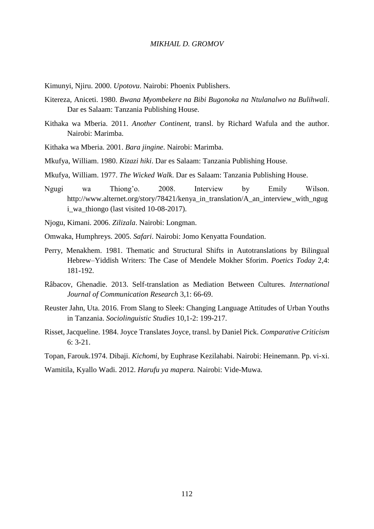Kimunyi, Njiru. 2000. *Upotovu*. Nairobi: Phoenix Publishers.

- Kitereza, Aniceti. 1980. *Bwana Myombekere na Bibi Bugonoka na Ntulanalwo na Bulihwali*. Dar es Salaam: Tanzania Publishing House.
- Kithaka wa Mberia. 2011. *Another Continent,* transl. by Richard Wafula and the author. Nairobi: Marimba.
- Kithaka wa Mberia. 2001. *Bara jingine*. Nairobi: Marimba.
- Mkufya, William. 1980. *Kizazi hiki*. Dar es Salaam: Tanzania Publishing House.
- Mkufya, William. 1977. *The Wicked Walk*. Dar es Salaam: Tanzania Publishing House.
- Ngugi wa Thiong'o. 2008. Interview by Emily Wilson. http://www.alternet.org/story/78421/kenya in translation/A an interview with ngug [i\\_wa\\_thiongo](http://www.alternet.org/story/78421/kenya_in_translation/A_an_interview_with_ngugi_wa_thiongo) (last visited 10-08-2017).
- Njogu, Kimani. 2006. *Zilizala*. Nairobi: Longman.
- Omwaka, Humphreys. 2005. *Safari*. Nairobi: Jomo Kenyatta Foundation.
- Perry, Menakhem. 1981. Thematic and Structural Shifts in Autotranslations by Bilingual Hebrew–Yiddish Writers: The Case of Mendele Mokher Sforim. *Poetics Today* 2,4: 181-192.
- Râbacov, Ghenadie. 2013. Self-translation as Mediation Between Cultures*. International Journal of Communication Research* 3,1: 66-69.
- Reuster Jahn, Uta. 2016. From Slang to Sleek: Changing Language Attitudes of Urban Youths in Tanzania. *Sociolinguistic Studies* 10,1-2: 199-217.
- Risset, Jacqueline. 1984. Joyce Translates Joyce, transl. by Daniel Pick. *Comparative Criticism*  6: 3-21.
- Topan, Farouk.1974. Dibaji. *Kichomi*, by Euphrase Kezilahabi. Nairobi: Heinemann. Pp. vi-xi.

Wamitila, Kyallo Wadi. 2012. *Harufu ya mapera.* Nairobi: Vide-Muwa.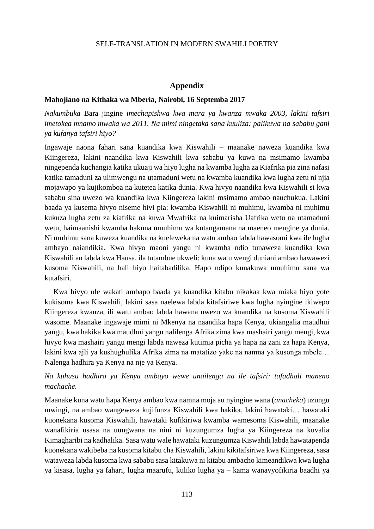### **Appendix**

#### **Mahojiano na Kithaka wa Mberia, Nairobi, 16 Septemba 2017**

*Nakumbuka* Bara jingine *imechapishwa kwa mara ya kwanza mwaka 2003, lakini tafsiri imetokea mnamo mwaka wa 2011. Na mimi ningetaka sana kuuliza: palikuwa na sababu gani ya kufanya tafsiri hiyo?*

Ingawaje naona fahari sana kuandika kwa Kiswahili – maanake naweza kuandika kwa Kiingereza, lakini naandika kwa Kiswahili kwa sababu ya kuwa na msimamo kwamba ningependa kuchangia katika ukuaji wa hiyo lugha na kwamba lugha za Kiafrika pia zina nafasi katika tamaduni za ulimwengu na utamaduni wetu na kwamba kuandika kwa lugha zetu ni njia mojawapo ya kujikomboa na kutetea katika dunia. Kwa hivyo naandika kwa Kiswahili si kwa sababu sina uwezo wa kuandika kwa Kiingereza lakini msimamo ambao nauchukua. Lakini baada ya kusema hivyo niseme hivi pia: kwamba Kiswahili ni muhimu, kwamba ni muhimu kukuza lugha zetu za kiafrika na kuwa Mwafrika na kuimarisha Uafrika wetu na utamaduni wetu, haimaanishi kwamba hakuna umuhimu wa kutangamana na maeneo mengine ya dunia. Ni muhimu sana kuweza kuandika na kueleweka na watu ambao labda hawasomi kwa ile lugha ambayo naiandikia. Kwa hivyo maoni yangu ni kwamba ndio tunaweza kuandika kwa Kiswahili au labda kwa Hausa, ila tutambue ukweli: kuna watu wengi duniani ambao hawawezi kusoma Kiswahili, na hali hiyo haitabadilika. Hapo ndipo kunakuwa umuhimu sana wa kutafsiri.

Kwa hivyo ule wakati ambapo baada ya kuandika kitabu nikakaa kwa miaka hiyo yote kukisoma kwa Kiswahili, lakini sasa naelewa labda kitafsiriwe kwa lugha nyingine ikiwepo Kiingereza kwanza, ili watu ambao labda hawana uwezo wa kuandika na kusoma Kiswahili wasome. Maanake ingawaje mimi ni Mkenya na naandika hapa Kenya, ukiangalia maudhui yangu, kwa hakika kwa maudhui yangu nalilenga Afrika zima kwa mashairi yangu mengi, kwa hivyo kwa mashairi yangu mengi labda naweza kutimia picha ya hapa na zani za hapa Kenya, lakini kwa ajli ya kushughulika Afrika zima na matatizo yake na namna ya kusonga mbele… Nalenga hadhira ya Kenya na nje ya Kenya.

# *Na kuhusu hadhira ya Kenya ambayo wewe unailenga na ile tafsiri: tafadhali maneno machache.*

Maanake kuna watu hapa Kenya ambao kwa namna moja au nyingine wana (*anacheka*) uzungu mwingi, na ambao wangeweza kujifunza Kiswahili kwa hakika, lakini hawataki… hawataki kuonekana kusoma Kiswahili, hawataki kufikiriwa kwamba wamesoma Kiswahili, maanake wanafikiria usasa na uungwana na nini ni kuzungumza lugha ya Kiingereza na kuvalia Kimagharibi na kadhalika. Sasa watu wale hawataki kuzungumza Kiswahili labda hawatapenda kuonekana wakibeba na kusoma kitabu cha Kiswahili, lakini kikitafsiriwa kwa Kiingereza, sasa wataweza labda kusoma kwa sababu sasa kitakuwa ni kitabu ambacho kimeandikwa kwa lugha ya kisasa, lugha ya fahari, lugha maarufu, kuliko lugha ya – kama wanavyofikiria baadhi ya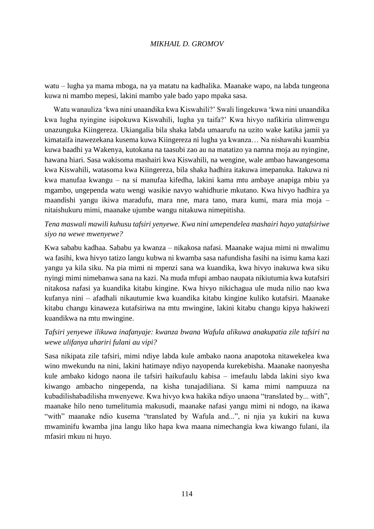watu – lugha ya mama mboga, na ya matatu na kadhalika. Maanake wapo, na labda tungeona kuwa ni mambo mepesi, lakini mambo yale bado yapo mpaka sasa.

Watu wanauliza 'kwa nini unaandika kwa Kiswahili?' Swali lingekuwa 'kwa nini unaandika kwa lugha nyingine isipokuwa Kiswahili, lugha ya taifa?' Kwa hivyo nafikiria ulimwengu unazunguka Kiingereza. Ukiangalia bila shaka labda umaarufu na uzito wake katika jamii ya kimataifa inawezekana kusema kuwa Kiingereza ni lugha ya kwanza… Na nishawahi kuambia kuwa baadhi ya Wakenya, kutokana na taasubi zao au na matatizo ya namna moja au nyingine, hawana hiari. Sasa wakisoma mashairi kwa Kiswahili, na wengine, wale ambao hawangesoma kwa Kiswahili, watasoma kwa Kiingereza, bila shaka hadhira itakuwa imepanuka. Itakuwa ni kwa manufaa kwangu – na si manufaa kifedha, lakini kama mtu ambaye anapiga mbiu ya mgambo, ungependa watu wengi wasikie navyo wahidhurie mkutano. Kwa hivyo hadhira ya maandishi yangu ikiwa maradufu, mara nne, mara tano, mara kumi, mara mia moja – nitaishukuru mimi, maanake ujumbe wangu nitakuwa nimepitisha.

# *Tena maswali mawili kuhusu tafsiri yenyewe. Kwa nini umependelea mashairi hayo yatafsiriwe siyo na wewe mwenyewe?*

Kwa sababu kadhaa. Sababu ya kwanza – nikakosa nafasi. Maanake wajua mimi ni mwalimu wa fasihi, kwa hivyo tatizo langu kubwa ni kwamba sasa nafundisha fasihi na isimu kama kazi yangu ya kila siku. Na pia mimi ni mpenzi sana wa kuandika, kwa hivyo inakuwa kwa siku nyingi mimi nimebanwa sana na kazi. Na muda mfupi ambao naupata nikiutumia kwa kutafsiri nitakosa nafasi ya kuandika kitabu kingine. Kwa hivyo nikichagua ule muda nilio nao kwa kufanya nini – afadhali nikautumie kwa kuandika kitabu kingine kuliko kutafsiri. Maanake kitabu changu kinaweza kutafsiriwa na mtu mwingine, lakini kitabu changu kipya hakiwezi kuandikwa na mtu mwingine.

# *Tafsiri yenyewe ilikuwa inafanyaje: kwanza bwana Wafula alikuwa anakupatia zile tafsiri na wewe ulifanya uhariri fulani au vipi?*

Sasa nikipata zile tafsiri, mimi ndiye labda kule ambako naona anapotoka nitawekelea kwa wino mwekundu na nini, lakini hatimaye ndiyo nayopenda kurekebisha. Maanake naonyesha kule ambako kidogo naona ile tafsiri haikufaulu kabisa – imefaulu labda lakini siyo kwa kiwango ambacho ningependa, na kisha tunajadiliana. Si kama mimi nampuuza na kubadilishabadilisha mwenyewe. Kwa hivyo kwa hakika ndiyo unaona "translated by... with", maanake hilo neno tumelitumia makusudi, maanake nafasi yangu mimi ni ndogo, na ikawa "with" maanake ndio kusema "translated by Wafula and...", ni njia ya kukiri na kuwa mwaminifu kwamba jina langu liko hapa kwa maana nimechangia kwa kiwango fulani, ila mfasiri mkuu ni huyo.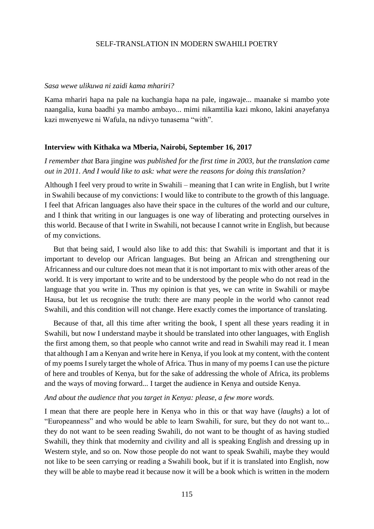#### *Sasa wewe ulikuwa ni zaidi kama mhariri?*

Kama mhariri hapa na pale na kuchangia hapa na pale, ingawaje... maanake si mambo yote naangalia, kuna baadhi ya mambo ambayo... mimi nikamtilia kazi mkono, lakini anayefanya kazi mwenyewe ni Wafula, na ndivyo tunasema "with".

#### **Interview with Kithaka wa Mberia, Nairobi, September 16, 2017**

# *I remember that* Bara jingine *was published for the first time in 2003, but the translation came out in 2011. And I would like to ask: what were the reasons for doing this translation?*

Although I feel very proud to write in Swahili – meaning that I can write in English, but I write in Swahili because of my convictions: I would like to contribute to the growth of this language. I feel that African languages also have their space in the cultures of the world and our culture, and I think that writing in our languages is one way of liberating and protecting ourselves in this world. Because of that I write in Swahili, not because I cannot write in English, but because of my convictions.

But that being said, I would also like to add this: that Swahili is important and that it is important to develop our African languages. But being an African and strengthening our Africanness and our culture does not mean that it is not important to mix with other areas of the world. It is very important to write and to be understood by the people who do not read in the language that you write in. Thus my opinion is that yes, we can write in Swahili or maybe Hausa, but let us recognise the truth: there are many people in the world who cannot read Swahili, and this condition will not change. Here exactly comes the importance of translating.

Because of that, all this time after writing the book, I spent all these years reading it in Swahili, but now I understand maybe it should be translated into other languages, with English the first among them, so that people who cannot write and read in Swahili may read it. I mean that although I am a Kenyan and write here in Kenya, if you look at my content, with the content of my poems I surely target the whole of Africa. Thus in many of my poems I can use the picture of here and troubles of Kenya, but for the sake of addressing the whole of Africa, its problems and the ways of moving forward... I target the audience in Kenya and outside Kenya.

#### *And about the audience that you target in Kenya: please, a few more words.*

I mean that there are people here in Kenya who in this or that way have (*laughs*) a lot of "Europeanness" and who would be able to learn Swahili, for sure, but they do not want to... they do not want to be seen reading Swahili, do not want to be thought of as having studied Swahili, they think that modernity and civility and all is speaking English and dressing up in Western style, and so on. Now those people do not want to speak Swahili, maybe they would not like to be seen carrying or reading a Swahili book, but if it is translated into English, now they will be able to maybe read it because now it will be a book which is written in the modern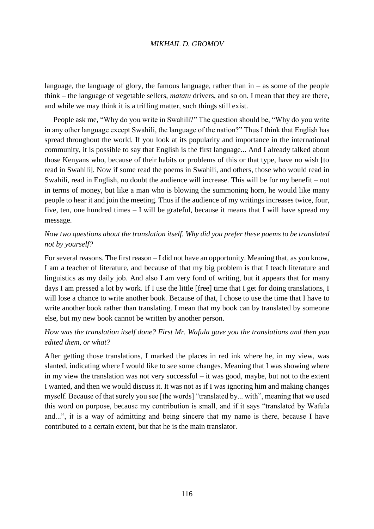language, the language of glory, the famous language, rather than  $in -$  as some of the people think – the language of vegetable sellers, *matatu* drivers, and so on. I mean that they are there, and while we may think it is a trifling matter, such things still exist.

People ask me, "Why do you write in Swahili?" The question should be, "Why do you write in any other language except Swahili, the language of the nation?" Thus I think that English has spread throughout the world. If you look at its popularity and importance in the international community, it is possible to say that English is the first language... And I already talked about those Kenyans who, because of their habits or problems of this or that type, have no wish [to read in Swahili]. Now if some read the poems in Swahili, and others, those who would read in Swahili, read in English, no doubt the audience will increase. This will be for my benefit – not in terms of money, but like a man who is blowing the summoning horn, he would like many people to hear it and join the meeting. Thus if the audience of my writings increases twice, four, five, ten, one hundred times – I will be grateful, because it means that I will have spread my message.

# *Now two questions about the translation itself. Why did you prefer these poems to be translated not by yourself?*

For several reasons. The first reason – I did not have an opportunity. Meaning that, as you know, I am a teacher of literature, and because of that my big problem is that I teach literature and linguistics as my daily job. And also I am very fond of writing, but it appears that for many days I am pressed a lot by work. If I use the little [free] time that I get for doing translations, I will lose a chance to write another book. Because of that, I chose to use the time that I have to write another book rather than translating. I mean that my book can by translated by someone else, but my new book cannot be written by another person.

# *How was the translation itself done? First Mr. Wafula gave you the translations and then you edited them, or what?*

After getting those translations, I marked the places in red ink where he, in my view, was slanted, indicating where I would like to see some changes. Meaning that I was showing where in my view the translation was not very successful – it was good, maybe, but not to the extent I wanted, and then we would discuss it. It was not as if I was ignoring him and making changes myself. Because of that surely you see [the words] "translated by... with", meaning that we used this word on purpose, because my contribution is small, and if it says "translated by Wafula and...", it is a way of admitting and being sincere that my name is there, because I have contributed to a certain extent, but that he is the main translator.